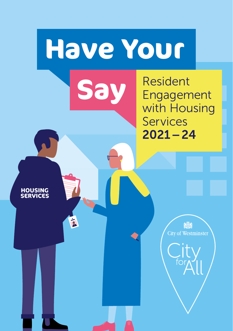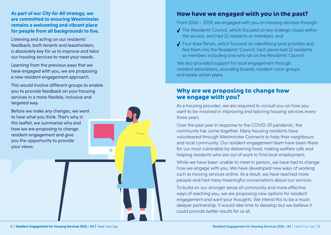#### **As part of our** *City for All* **strategy, we are committed to ensuring Westminster remains a welcoming and vibrant place for people from all backgrounds to live.**

Listening and acting on our residents' feedback, both tenants and leaseholders, is absolutely key for us to improve and tailor our housing services to meet your needs.

Learning from the previous ways that we have engaged with you, we are proposing a new resident engagement approach.

This would involve different groups to enable you to provide feedback on your housing services in a more flexible, inclusive and targeted way.

Before we make any changes, we want to hear what you think. That's why in this leaflet, we summarise why and how we are proposing to change resident engagement and give you the opportunity to provide your views.

## **How have we engaged with you in the past?**

From 2016 – 2019, we engaged with you on housing services through:

- √ The Residents' Council, which focused on key strategic issues within the service, and had 12 residents as members; and
- √ Four Area Panels, which focused on identifying local priorities and fed them into the Residents' Council. Each panel had 12 residents as members including one who sat on the Residents' Council

We also provided support for local engagement through resident associations, sounding boards, resident voice groups and estate action plans.

#### **Why are we proposing to change how we engage with you?**

As a housing provider, we are required to consult you on how you want to be involved in improving and tailoring housing services every three years.

Over the past year in response to the COVID-19 pandemic, the community has come together. Many housing residents have volunteered through Westminster Connects to help their neighbours and local community. Our resident engagement team have been there for our most vulnerable by delivering food, making welfare calls and helping residents who are out of work to find local employment.

While we have been unable to meet in person, we have had to change how we engage with you. We have developed new ways of working such as moving services online. As a result, we have reached more people and had many meaningful conversations about our services.

To build on our stronger sense of community and more effective ways of reaching you, we are proposing new options for resident engagement and want your thoughts. We intend this to be a much deeper partnership. It would take time to develop but we believe it could provide better results for us all.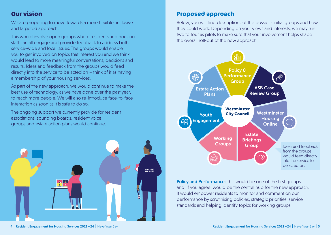# **Our vision**

We are proposing to move towards a more flexible, inclusive and targeted approach.

This would involve open groups where residents and housing staff can all engage and provide feedback to address both service-wide and local issues. The groups would enable you to get involved on topics that interest you and we think would lead to more meaningful conversations, decisions and results. Ideas and feedback from the groups would feed directly into the service to be acted on – think of it as having a membership of your housing services.

As part of the new approach, we would continue to make the best use of technology, as we have done over the past year, to reach more people. We will also re-introduce face-to-face interaction as soon as it is safe to do so.

The ongoing support we currently provide for resident associations, sounding boards, resident voice groups and estate action plans would continue.



# **Proposed approach**

Below, you will find descriptions of the possible initial groups and how they could work. Depending on your views and interests, we may run two to four as pilots to make sure that your involvement helps shape the overall roll-out of the new approach.



Policy and Performance: This would be one of the first groups and, if you agree, would be the central hub for the new approach. It would empower residents to monitor and comment on our performance by scrutinising policies, strategic priorities, service standards and helping identify topics for working groups.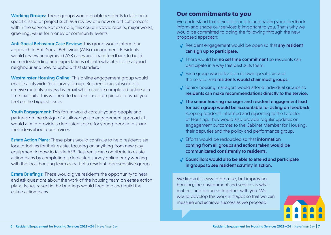Working Groups: These groups would enable residents to take on a specific issue or project such as a review of a new or difficult process within the service. For example, this could involve: repairs, major works, greening, value for money or community events.

Anti-Social Behaviour Case Review: This group would inform our approach to Anti-Social Behaviour (ASB) management. Residents would review anonymised ASB cases and share feedback to build our understanding and expectations of both what it is to be a good neighbour and how to uphold that standard.

Westminster Housing Online: This online engagement group would enable a citywide 'big survey' group. Residents can subscribe to receive monthly surveys by email which can be completed online at a time that suits. This will help to build an in-depth picture of what you feel on the biggest issues.

Youth Engagement: This forum would consult young people and partners on the design of a tailored youth engagement approach. It would aim to provide a dedicated space for young people to share their ideas about our services.

**Estate Action Plans:** These plans would continue to help residents set local priorities for their estate, focusing on anything from new play equipment to how to tackle ASB. Residents can contribute to estate action plans by completing a dedicated survey online or by working with the local housing team as part of a resident representative group.

**Estate Briefings:** These would give residents the opportunity to hear and ask questions about the work of the housing team on estate action plans. Issues raised in the briefings would feed into and build the estate action plans.

#### **Our commitments to you**

We understand that being listened to and having your feedback inform and shape our services is important to you. That's why we would be committed to doing the following through the new proposed approach:

- √ Resident engagement would be open so that any resident can sign up to participate.
- √ There would be no set time commitment so residents can participate in a way that best suits them.
- √ Each group would lead on its own specific area of the service and residents would chair most groups.
- √ Senior housing managers would attend individual groups so residents can make recommendations directly to the service.
- √ The senior housing manager and resident engagement lead for each group would be accountable for acting on feedback, keeping residents informed and reporting to the Director of Housing. They would also provide regular updates on engagement outcomes to the Cabinet Member for Housing, their deputies and the policy and performance group.
- √ Efforts would be redoubled so that information coming from all groups and actions taken would be communicated consistently to residents.
- √ Councillors would also be able to attend and participate in groups to see resident scrutiny in action.

We know it is easy to promise, but improving housing, the environment and services is what matters, and doing so together with you. We would develop this work in stages so that we can measure and achieve success as we proceed.